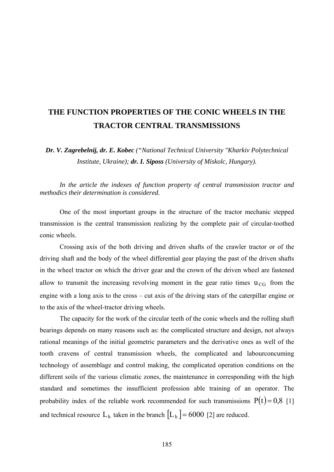## **THE FUNCTION PROPERTIES OF THE CONIC WHEELS IN THE TRACTOR CENTRAL TRANSMISSIONS**

*Dr. V. Zagrebelnij, dr. E. Kobec ("National Technical University "Kharkiv Polytechnical Institute, Ukraine); dr. I. Siposs (University of Miskolc, Hungary).* 

*In the article the indexes of function property of central transmission tractor and methodics their determination is considered.* 

One of the most important groups in the structure of the tractor mechanic stepped transmission is the central transmission realizing by the complete pair of circular-toothed conic wheels.

Crossing axis of the both driving and driven shafts of the crawler tractor or of the driving shaft and the body of the wheel differential gear playing the past of the driven shafts in the wheel tractor on which the driver gear and the crown of the driven wheel are fastened allow to transmit the increasing revolving moment in the gear ratio times  $u_{CG}$  from the engine with a long axis to the cross – cut axis of the driving stars of the caterpillar engine or to the axis of the wheel-tractor driving wheels.

The capacity for the work of the circular teeth of the conic wheels and the rolling shaft bearings depends on many reasons such as: the complicated structure and design, not always rational meanings of the initial geometric parameters and the derivative ones as well of the tooth cravens of central transmission wheels, the complicated and labourconcuming technology of assemblage and control making, the complicated operation conditions on the different soils of the various climatic zones, the maintenance in corresponding with the high standard and sometimes the insufficient profession able training of an operator. The probability index of the reliable work recommended for such transmissions  $P(t) = 0.8$  [1] and technical resource  $L_h$  taken in the branch  $\lfloor L_h \rfloor = 6000$  [2] are reduced.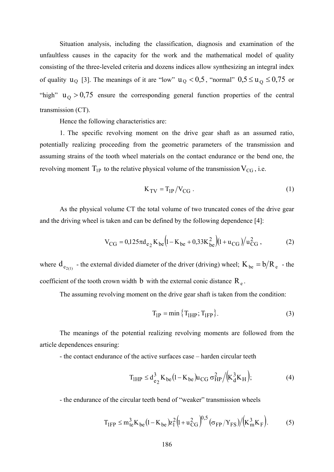Situation analysis, including the classification, diagnosis and examination of the unfaultless causes in the capacity for the work and the mathematical model of quality consisting of the three-leveled criteria and dozens indices allow synthesizing an integral index of quality  $u_Q$  [3]. The meanings of it are "low"  $u_Q < 0.5$ , "normal"  $0.5 \le u_Q \le 0.75$  or "high"  $u_Q > 0.75$  ensure the corresponding general function properties of the central transmission (CT).

Hence the following characteristics are:

1. The specific revolving moment on the drive gear shaft as an assumed ratio, potentially realizing proceeding from the geometric parameters of the transmission and assuming strains of the tooth wheel materials on the contact endurance or the bend one, the revolving moment  $T_{1P}$  to the relative physical volume of the transmission  $V_{CG}$ , i.e.

$$
K_{TV} = T_{1P}/V_{CG} \tag{1}
$$

As the physical volume CT the total volume of two truncated cones of the drive gear and the driving wheel is taken and can be defined by the following dependence [4]:

$$
V_{CG} = 0.125 \pi d_{e_2} K_{be} \left( 1 - K_{be} + 0.33 K_{be}^2 \right) \left( 1 + u_{CG} \right) / u_{CG}^2 ,\tag{2}
$$

where  $d_{e_{2(1)}}$  - the external divided diameter of the driver (driving) wheel;  $K_{be} = b/R_e$  - the coefficient of the tooth crown width b with the external conic distance  $R_e$ .

The assuming revolving moment on the drive gear shaft is taken from the condition:

$$
T_{IP} = \min\left\{T_{1HP}; T_{1FP}\right\}.
$$
 (3)

The meanings of the potential realizing revolving moments are followed from the article dependences ensuring:

- the contact endurance of the active surfaces case – harden circular teeth

$$
T_{1HP} \le d_{e_2}^3 K_{be} (1 - K_{be}) u_{CG} \sigma_{HP}^2 / (K_d^3 K_H); \tag{4}
$$

- the endurance of the circular teeth bend of "weaker" transmission wheels

$$
T_{IFP} \le m_{te}^{3} K_{be} (1 - K_{be}) z_{1}^{2} (1 + u_{CG}^{2})^{0.5} (\sigma_{FP}/Y_{FS}) / (K_{m}^{3} K_{F}).
$$
 (5)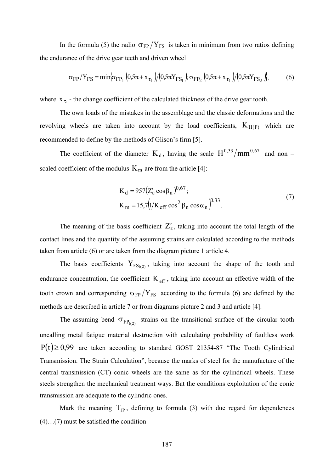In the formula (5) the radio  $\sigma_{FP}/Y_{FS}$  is taken in minimum from two ratios defining the endurance of the drive gear teeth and driven wheel

$$
\sigma_{FP}/Y_{FS} = \min \{ \sigma_{FP_1} (0.5\pi + x_{\tau_1}) / (0.5\pi Y_{FS_1}) \} \sigma_{FP_2} (0.5\pi + x_{\tau_1}) / (0.5\pi Y_{FS_2}) \},
$$
(6)

where  $X_{\tau_1}$  - the change coefficient of the calculated thickness of the drive gear tooth.

The own loads of the mistakes in the assemblage and the classic deformations and the revolving wheels are taken into account by the load coefficients,  $K_{H(F)}$  which are recommended to define by the methods of Glison's firm [5].

The coefficient of the diameter  $K_d$ , having the scale  $H^{0,33}/mm^{0,67}$  and non – scaled coefficient of the modulus  $K_m$  are from the article [4]:

$$
K_{d} = 957(Z'_{\epsilon} \cos \beta_{n})^{0.67};
$$
  
\n
$$
K_{m} = 15,7(1/K_{eff} \cos^{2} \beta_{n} \cos \alpha_{n})^{0.33}
$$
\n(7)

The meaning of the basis coefficient  $Z'_{\varepsilon}$ , taking into account the total length of the contact lines and the quantity of the assuming strains are calculated according to the methods taken from article (6) or are taken from the diagram picture 1 article 4.

The basis coefficients  $Y_{FS_{1(2)}}$ , taking into account the shape of the tooth and endurance concentration, the coefficient  $K_{\text{eff}}$ , taking into account an effective width of the tooth crown and corresponding  $\sigma_{FP}/Y_{FS}$  according to the formula (6) are defined by the methods are described in article 7 or from diagrams picture 2 and 3 and article [4].

The assuming bend  $\sigma_{FP_{1(2)}}$  strains on the transitional surface of the circular tooth uncalling metal fatigue material destruction with calculating probability of faultless work  $P(t) \ge 0.99$  are taken according to standard GOST 21354-87 "The Tooth Cylindrical Transmission. The Strain Calculation", because the marks of steel for the manufacture of the central transmission (CT) conic wheels are the same as for the cylindrical wheels. These steels strengthen the mechanical treatment ways. Bat the conditions exploitation of the conic transmission are adequate to the cylindric ones.

Mark the meaning  $T_{1P}$ , defining to formula (3) with due regard for dependences (4)…(7) must be satisfied the condition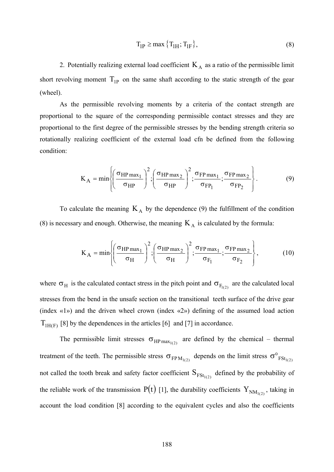$$
T_{IP} \ge \max\left\{T_{IH}; T_{IF}\right\},\tag{8}
$$

2. Potentially realizing external load coefficient  $K_A$  as a ratio of the permissible limit short revolving moment  $T_{1P}$  on the same shaft according to the static strength of the gear (wheel).

As the permissible revolving moments by a criteria of the contact strength are proportional to the square of the corresponding permissible contact stresses and they are proportional to the first degree of the permissible stresses by the bending strength criteria so rotationally realizing coefficient of the external load cfn be defined from the following condition:

$$
K_A = min\left\{ \left( \frac{\sigma_{HP \max_1}}{\sigma_{HP}} \right)^2; \left( \frac{\sigma_{HP \max_2}}{\sigma_{HP}} \right)^2; \frac{\sigma_{FP \max_1}}{\sigma_{FP_1}}; \frac{\sigma_{FP \max_2}}{\sigma_{FP_2}} \right\}.
$$
 (9)

To calculate the meaning  $K_A$  by the dependence (9) the fulfillment of the condition (8) is necessary and enough. Otherwise, the meaning  $K_A$  is calculated by the formula:

$$
K_A = min\left\{ \left(\frac{\sigma_{HP \max_1}}{\sigma_H}\right)^2; \left(\frac{\sigma_{HP \max_2}}{\sigma_H}\right)^2; \frac{\sigma_{FP \max_1}}{\sigma_{F_1}}; \frac{\sigma_{FP \max_2}}{\sigma_{F_2}} \right\},
$$
(10)

where  $\sigma_H$  is the calculated contact stress in the pitch point and  $\sigma_{F_{1(2)}}$  are the calculated local stresses from the bend in the unsafe section on the transitional teeth surface of the drive gear (index «1») and the driven wheel crown (index «2») defining of the assumed load action  $T<sub>1H(F)</sub>$  [8] by the dependences in the articles [6] and [7] in accordance.

The permissible limit stresses  $\sigma_{HP \max_{1(2)}}$  are defined by the chemical – thermal treatment of the teeth. The permissible stress  $\sigma_{FPM_{1(2)}}$  depends on the limit stress  $\sigma_{FSt_{1(2)}}^{\circ}$ not called the tooth break and safety factor coefficient  $S_{FSt_{1(2)}}$  defined by the probability of the reliable work of the transmission  $P(t)$  [1], the durability coefficients  $Y_{NM_{1(2)}}$ , taking in account the load condition [8] according to the equivalent cycles and also the coefficients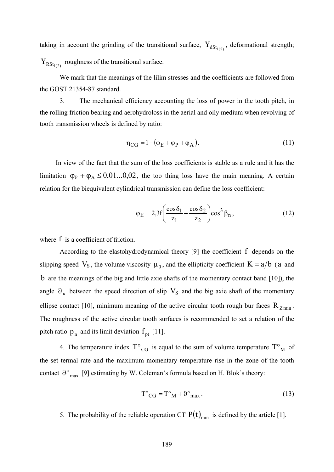taking in account the grinding of the transitional surface,  $Y_{dSt_{1(2)}}$ , deformational strength;  $Y_{RSt_{1(2)}}$  roughness of the transitional surface.

We mark that the meanings of the lilim stresses and the coefficients are followed from the GOST 21354-87 standard.

3. The mechanical efficiency accounting the loss of power in the tooth pitch, in the rolling friction bearing and aerohydroloss in the aerial and oily medium when revolving of tooth transmission wheels is defined by ratio:

$$
\eta_{CG} = 1 - (\varphi_E + \varphi_P + \varphi_A). \tag{11}
$$

In view of the fact that the sum of the loss coefficients is stable as a rule and it has the limitation  $\varphi_P + \varphi_A \leq 0.01...0.02$ , the too thing loss have the main meaning. A certain relation for the biequivalent cylindrical transmission can define the loss coefficient:

$$
\varphi_E = 2.3f \left( \frac{\cos \delta_1}{z_1} + \frac{\cos \delta_2}{z_2} \right) \cos^3 \beta_n, \tag{12}
$$

where  $f$  is a coefficient of friction.

According to the elastohydrodynamical theory  $[9]$  the coefficient  $f$  depends on the slipping speed  $V_s$ , the volume viscosity  $\mu_0$ , and the ellipticity coefficient  $K = a/b$  (a and b are the meanings of the big and little axie shafts of the momentary contact band [10]), the angle  $\vartheta_{\kappa}$  between the speed direction of slip  $V_S$  and the big axie shaft of the momentary ellipse contact [10], minimum meaning of the active circular tooth rough bur faces  $R_{Zmin}$ . The roughness of the active circular tooth surfaces is recommended to set a relation of the pitch ratio  $p_n$  and its limit deviation  $f_{pt}$  [11].

4. The temperature index  $T^{\circ}_{CG}$  is equal to the sum of volume temperature  $T^{\circ}_{M}$  of the set termal rate and the maximum momentary temperature rise in the zone of the tooth contact  $\vartheta^{\circ}$ <sub>max</sub> [9] estimating by W. Coleman's formula based on H. Blok's theory:

$$
T^{\circ}{}_{CG} = T^{\circ}{}_{M} + \vartheta^{\circ}{}_{max} \,. \tag{13}
$$

5. The probability of the reliable operation CT  $P(t)_{min}$  is defined by the article [1].